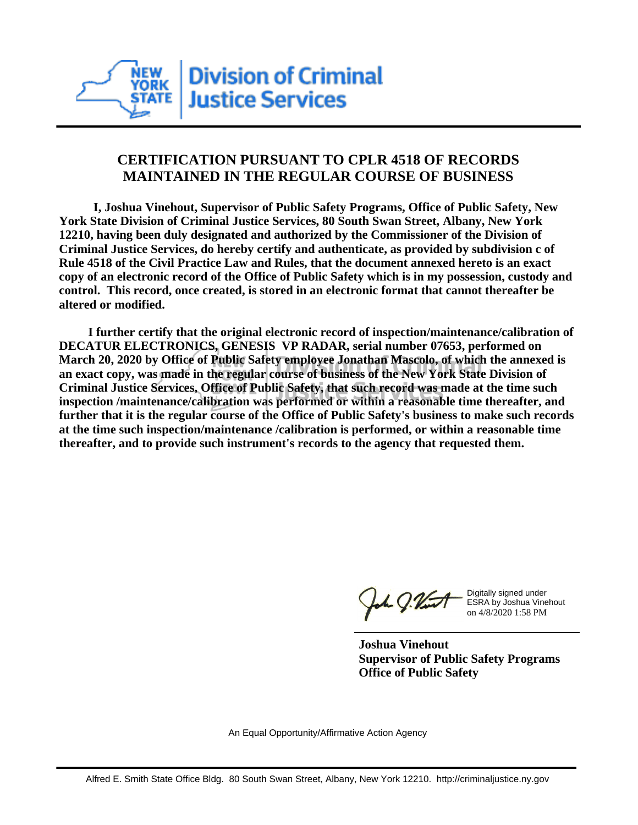

## **CERTIFICATION PURSUANT TO CPLR 4518 OF RECORDS MAINTAINED IN THE REGULAR COURSE OF BUSINESS**

 **I, Joshua Vinehout, Supervisor of Public Safety Programs, Office of Public Safety, New York State Division of Criminal Justice Services, 80 South Swan Street, Albany, New York 12210, having been duly designated and authorized by the Commissioner of the Division of Criminal Justice Services, do hereby certify and authenticate, as provided by subdivision c of Rule 4518 of the Civil Practice Law and Rules, that the document annexed hereto is an exact copy of an electronic record of the Office of Public Safety which is in my possession, custody and control. This record, once created, is stored in an electronic format that cannot thereafter be altered or modified.**

 **I further certify that the original electronic record of inspection/maintenance/calibration of DECATUR ELECTRONICS, GENESIS VP RADAR, serial number 07653, performed on March 20, 2020 by Office of Public Safety employee Jonathan Mascolo, of which the annexed is an exact copy, was made in the regular course of business of the New York State Division of Criminal Justice Services, Office of Public Safety, that such record was made at the time such inspection /maintenance/calibration was performed or within a reasonable time thereafter, and further that it is the regular course of the Office of Public Safety's business to make such records at the time such inspection/maintenance /calibration is performed, or within a reasonable time thereafter, and to provide such instrument's records to the agency that requested them.**

h J.Vint

Digitally signed under ESRA by Joshua Vinehout on 4/8/2020 1:58 PM

**Joshua Vinehout Supervisor of Public Safety Programs Office of Public Safety**

An Equal Opportunity/Affirmative Action Agency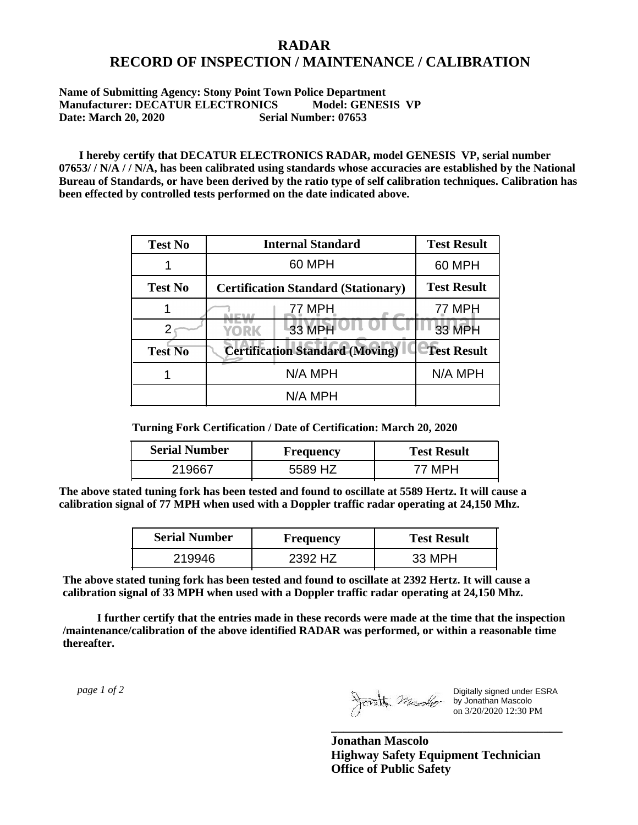## **RADAR RECORD OF INSPECTION / MAINTENANCE / CALIBRATION**

## **Name of Submitting Agency: Stony Point Town Police Department Manufacturer: DECATUR ELECTRONICS Model: GENESIS VP Date: March 20, 2020 Serial Number: 07653**

 **I hereby certify that DECATUR ELECTRONICS RADAR, model GENESIS VP, serial number 07653/ / N/A / / N/A, has been calibrated using standards whose accuracies are established by the National Bureau of Standards, or have been derived by the ratio type of self calibration techniques. Calibration has been effected by controlled tests performed on the date indicated above.**

| <b>Test No</b> | <b>Internal Standard</b>                   | <b>Test Result</b> |
|----------------|--------------------------------------------|--------------------|
|                | 60 MPH                                     | 60 MPH             |
| <b>Test No</b> | <b>Certification Standard (Stationary)</b> | <b>Test Result</b> |
|                | 77 MPH                                     | 77 MPH             |
|                | 33 MPH<br><b>YORK</b>                      | <b>33 MPH</b>      |
| <b>Test No</b> | <b>Certification Standard (Moving)</b>     | <b>Test Result</b> |
|                | N/A MPH                                    | N/A MPH            |
|                | N/A MPH                                    |                    |

**Turning Fork Certification / Date of Certification: March 20, 2020**

| <b>Serial Number</b> | Frequency    | <b>Test Result</b> |
|----------------------|--------------|--------------------|
|                      | . H7<br>5589 |                    |

**The above stated tuning fork has been tested and found to oscillate at 5589 Hertz. It will cause a calibration signal of 77 MPH when used with a Doppler traffic radar operating at 24,150 Mhz.**

| <b>Serial Number</b> | Frequency | <b>Test Result</b> |
|----------------------|-----------|--------------------|
| 219946               | 2392 HZ   | 33 MPH             |

**The above stated tuning fork has been tested and found to oscillate at 2392 Hertz. It will cause a calibration signal of 33 MPH when used with a Doppler traffic radar operating at 24,150 Mhz.**

 **I further certify that the entries made in these records were made at the time that the inspection /maintenance/calibration of the above identified RADAR was performed, or within a reasonable time thereafter.**

 *page 1 of 2* 

Digitally signed under ESRA by Jonathan Mascolo on 3/20/2020 12:30 PM

**Jonathan Mascolo Highway Safety Equipment Technician Office of Public Safety**

**\_\_\_\_\_\_\_\_\_\_\_\_\_\_\_\_\_\_\_\_\_\_\_\_\_\_\_\_\_\_\_\_\_\_\_\_\_**